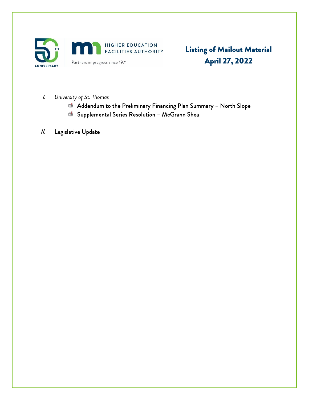

Listing of Mailout Material April 27, 2022

- I. *University of St. Thomas*
	- Addendum to the Preliminary Financing Plan Summary North Slope
	- Supplemental Series Resolution McGrann Shea
- II. Legislative Update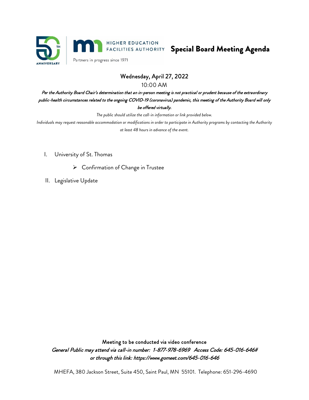



Partners in progress since 1971

# Wednesday, April 27, 2022

10:00 AM

Per the Authority Board Chair's determination that an in-person meeting is not practical or prudent because of the extraordinary public-health circumstances related to the ongoing COVID-19 (coronavirus) pandemic, this meeting of the Authority Board will only be offered virtually.

*The public should utilize the call-in information or link provided below.*

*Individuals may request reasonable accommodation or modifications in order to participate in Authority programs by contacting the Authority at least 48 hours in advance of the event.*

- I. University of St. Thomas
	- Confirmation of Change in Trustee
- II. Legislative Update

Meeting to be conducted via video conference General Public may attend via call-in number: 1-877-978-6969 Access Code: 645-016-646# or through this link: https://www.gomeet.com/645-016-646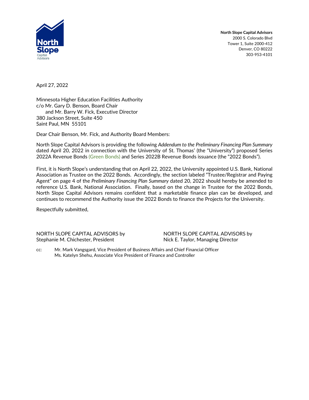

**North Slope Capital Advisors** 2000 S. Colorado Blvd Tower 1, Suite 2000-412 Denver, CO 80222 303-953-4101

April 27, 2022

Minnesota Higher Education Facilities Authority c/o Mr. Gary D. Benson, Board Chair and Mr. Barry W. Fick, Executive Director 380 Jackson Street, Suite 450 Saint Paul, MN 55101

Dear Chair Benson, Mr. Fick, and Authority Board Members:

North Slope Capital Advisors is providing the following *Addendum to the Preliminary Financing Plan Summary* dated April 20, 2022 in connection with the University of St. Thomas' (the "University") proposed Series 2022A Revenue Bonds (Green Bonds) and Series 2022B Revenue Bonds issuance (the "2022 Bonds").

First, it is North Slope's understanding that on April 22, 2022, the University appointed U.S. Bank, National Association as Trustee on the 2022 Bonds. Accordingly, the section labeled "Trustee/Registrar and Paying Agent" on page 4 of the *Preliminary Financing Plan Summary* dated 20, 2022 should hereby be amended to reference U.S. Bank, National Association. Finally, based on the change in Trustee for the 2022 Bonds, North Slope Capital Advisors remains confident that a marketable finance plan can be developed, and continues to recommend the Authority issue the 2022 Bonds to finance the Projects for the University.

Respectfully submitted,

NORTH SLOPE CAPITAL ADVISORS by NORTH SLOPE CAPITAL ADVISORS by Stephanie M. Chichester, President Nick E. Taylor, Managing Director

cc: Mr. Mark Vangsgard, Vice President of Business Affairs and Chief Financial Officer Ms. Katelyn Shehu, Associate Vice President of Finance and Controller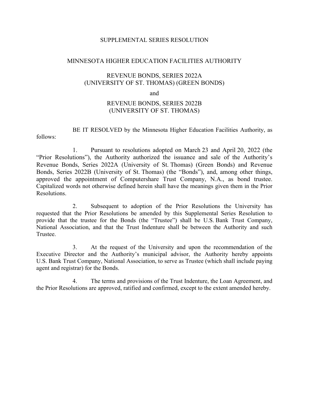#### SUPPLEMENTAL SERIES RESOLUTION

#### MINNESOTA HIGHER EDUCATION FACILITIES AUTHORITY

### REVENUE BONDS, SERIES 2022A (UNIVERSITY OF ST. THOMAS) (GREEN BONDS)

and

## REVENUE BONDS, SERIES 2022B (UNIVERSITY OF ST. THOMAS)

BE IT RESOLVED by the Minnesota Higher Education Facilities Authority, as follows:

1. Pursuant to resolutions adopted on March 23 and April 20, 2022 (the "Prior Resolutions"), the Authority authorized the issuance and sale of the Authority's Revenue Bonds, Series 2022A (University of St. Thomas) (Green Bonds) and Revenue Bonds, Series 2022B (University of St. Thomas) (the "Bonds"), and, among other things, approved the appointment of Computershare Trust Company, N.A., as bond trustee. Capitalized words not otherwise defined herein shall have the meanings given them in the Prior Resolutions.

2. Subsequent to adoption of the Prior Resolutions the University has requested that the Prior Resolutions be amended by this Supplemental Series Resolution to provide that the trustee for the Bonds (the "Trustee") shall be U.S. Bank Trust Company, National Association, and that the Trust Indenture shall be between the Authority and such Trustee.

3. At the request of the University and upon the recommendation of the Executive Director and the Authority's municipal advisor, the Authority hereby appoints U.S. Bank Trust Company, National Association, to serve as Trustee (which shall include paying agent and registrar) for the Bonds.

4. The terms and provisions of the Trust Indenture, the Loan Agreement, and the Prior Resolutions are approved, ratified and confirmed, except to the extent amended hereby.